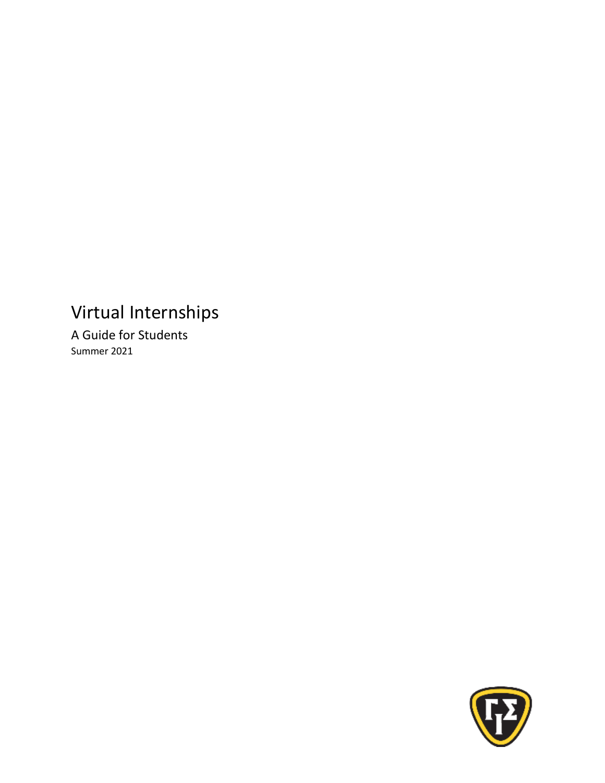# Virtual Internships

A Guide for Students Summer 2021

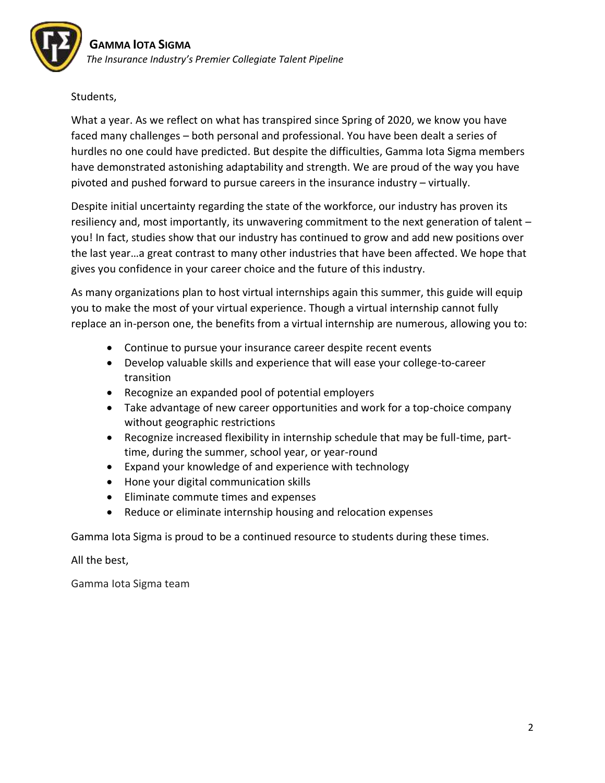## Students,

What a year. As we reflect on what has transpired since Spring of 2020, we know you have faced many challenges – both personal and professional. You have been dealt a series of hurdles no one could have predicted. But despite the difficulties, Gamma Iota Sigma members have demonstrated astonishing adaptability and strength. We are proud of the way you have pivoted and pushed forward to pursue careers in the insurance industry – virtually.

Despite initial uncertainty regarding the state of the workforce, our industry has proven its resiliency and, most importantly, its unwavering commitment to the next generation of talent – you! In fact, studies show that our industry has continued to grow and add new positions over the last year…a great contrast to many other industries that have been affected. We hope that gives you confidence in your career choice and the future of this industry.

As many organizations plan to host virtual internships again this summer, this guide will equip you to make the most of your virtual experience. Though a virtual internship cannot fully replace an in-person one, the benefits from a virtual internship are numerous, allowing you to:

- Continue to pursue your insurance career despite recent events
- Develop valuable skills and experience that will ease your college-to-career transition
- Recognize an expanded pool of potential employers
- Take advantage of new career opportunities and work for a top-choice company without geographic restrictions
- Recognize increased flexibility in internship schedule that may be full-time, parttime, during the summer, school year, or year-round
- Expand your knowledge of and experience with technology
- Hone your digital communication skills
- Eliminate commute times and expenses
- Reduce or eliminate internship housing and relocation expenses

Gamma Iota Sigma is proud to be a continued resource to students during these times.

All the best,

Gamma Iota Sigma team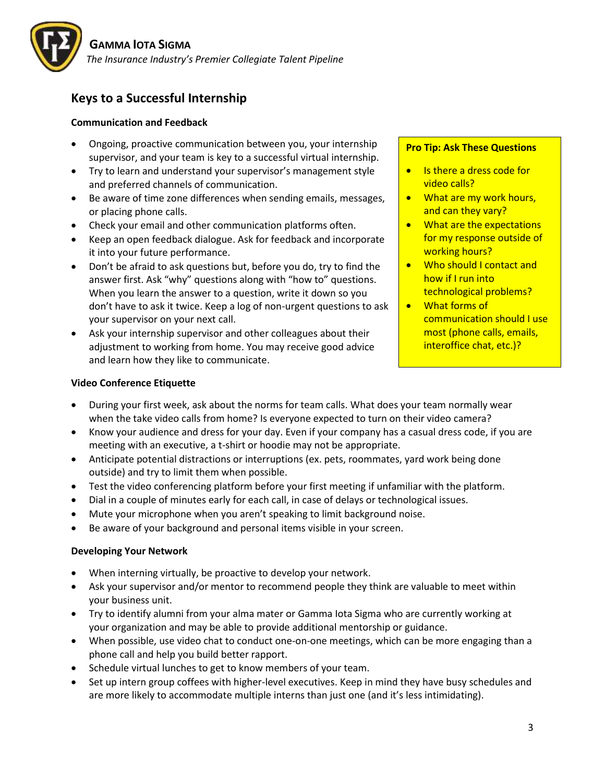

# **Keys to a Successful Internship**

#### **Communication and Feedback**

- Ongoing, proactive communication between you, your internship supervisor, and your team is key to a successful virtual internship.
- Try to learn and understand your supervisor's management style and preferred channels of communication.
- Be aware of time zone differences when sending emails, messages, or placing phone calls.
- Check your email and other communication platforms often.
- Keep an open feedback dialogue. Ask for feedback and incorporate it into your future performance.
- Don't be afraid to ask questions but, before you do, try to find the answer first. Ask "why" questions along with "how to" questions. When you learn the answer to a question, write it down so you don't have to ask it twice. Keep a log of non-urgent questions to ask your supervisor on your next call.
- Ask your internship supervisor and other colleagues about their adjustment to working from home. You may receive good advice and learn how they like to communicate.

#### **Pro Tip: Ask These Questions**

- Is there a dress code for video calls?
- What are my work hours, and can they vary?
- What are the expectations for my response outside of working hours?
- Who should I contact and how if I run into technological problems?
- What forms of communication should I use most (phone calls, emails, interoffice chat, etc.)?

#### **Video Conference Etiquette**

- During your first week, ask about the norms for team calls. What does your team normally wear when the take video calls from home? Is everyone expected to turn on their video camera?
- Know your audience and dress for your day. Even if your company has a casual dress code, if you are meeting with an executive, a t-shirt or hoodie may not be appropriate.
- Anticipate potential distractions or interruptions (ex. pets, roommates, yard work being done outside) and try to limit them when possible.
- Test the video conferencing platform before your first meeting if unfamiliar with the platform.
- Dial in a couple of minutes early for each call, in case of delays or technological issues.
- Mute your microphone when you aren't speaking to limit background noise.
- Be aware of your background and personal items visible in your screen.

#### **Developing Your Network**

- When interning virtually, be proactive to develop your network.
- Ask your supervisor and/or mentor to recommend people they think are valuable to meet within your business unit.
- Try to identify alumni from your alma mater or Gamma Iota Sigma who are currently working at your organization and may be able to provide additional mentorship or guidance.
- When possible, use video chat to conduct one-on-one meetings, which can be more engaging than a phone call and help you build better rapport.
- Schedule virtual lunches to get to know members of your team.
- Set up intern group coffees with higher-level executives. Keep in mind they have busy schedules and are more likely to accommodate multiple interns than just one (and it's less intimidating).